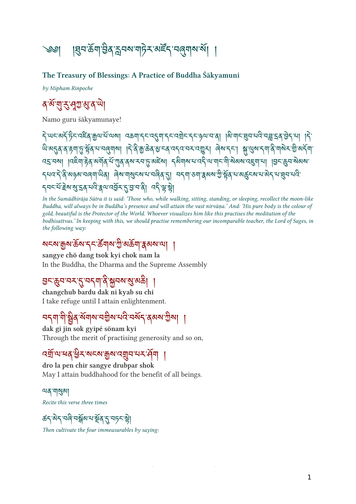$\frac{1}{2}$  |  $\frac{1}{2}$   $\frac{1}{2}$   $\frac{1}{2}$   $\frac{1}{2}$   $\frac{1}{2}$   $\frac{1}{2}$   $\frac{1}{2}$   $\frac{1}{2}$   $\frac{1}{2}$   $\frac{1}{2}$   $\frac{1}{2}$   $\frac{1}{2}$   $\frac{1}{2}$   $\frac{1}{2}$   $\frac{1}{2}$   $\frac{1}{2}$   $\frac{1}{2}$   $\frac{1}{2}$   $\frac{1}{2}$   $\frac{1}{2}$   $\frac{1}{2}$ 

#### The Treasury of Blessings: A Practice of Buddha Śākyamuni

by Mipham Rinpoche

#### १ व सुरुभूग्लुब प

Namo guru śākyamunaye!

বি'ਘ<'ঝৰ্ব'ৰ্ট্চ'ৰ্ম্লিক'ৰ্মাম' বক্তৰা'ব্ৰ্'ব্ৰ্মাব্ৰ্'বৰ্ম্মৰ'ৰ্'ৰা । বি'ৰ্মাৰ্'মুৰ'মন্ত্ৰী'বৰ্ম্মন্ত্ৰ'ৰা ।ব ન અંગ્ન વાર્ગ કર્મા હૈ ફોર્ન ન નહેનાના || ન વાર્ચ જીન્ન હત્તન તેના તે જાના તે અને કાર્યું કરી જાનના તે જાનના ત <u>বহম্বৰা । বিইমাক্টৰ অৰ্মীৰ যঁত্যাৰ বৰা হাত অইৰা বিষয়াৰ বেই আমাৰ মীজৰম বেইমানা । বিৰুদ্ধে ৰা</u>জ্যৰ <u>ราช 5 จ่าต่อตาสต่อได้ ต่อ ปลี่ยวของ ยาสต่อ 21 จ่างไอกไซตอด ถือด้วย ตลิ่ว สารสารหา</u> དབང་པོ་ེས་་ན་པ་ལ་འོར་་་བ་། འ་་ེ།

In the Samādhirāja Sūtra it is said: 'Those who, while walking, sitting, standing, or sleeping, recollect the moon-like Buddha, will always be in Buddha's presence and will attain the vast nirvāṇa.' And: 'His pure body is the colour of gold, beautiful is the Protector of the World. Whoever visualizes him like this practises the meditation of the bodhisattvas.' In keeping with this, we should practise remembering our incomparable teacher, the Lord of Sages, in the following way:

#### สรม มิต อุซ 2 ตุลได พิ พอล รุดอ เล่ |

sangye chö dang tsok kyi chok nam la In the Buddha, the Dharma and the Supreme Assembly

#### <u>ੲ</u>ང་क़ॖूय़ॱय़≺ॱॸॣॱय़ॸॣॺॱऄऀॱऄॣय़ॴॱॲऀ.ॴॺॖ

changchub bardu dak ni kyab su chi I take refuge until I attain enlightenment.

#### <u>નર્નના ના ક્યુંજે અનોઅ નજીએ નાર નઅર્ન જેજબ ઉજાં |</u>

dak gi jin sok gyipé sönam kyi Through the merit of practising generosity and so on,

#### उबाज बर् छन यन्य क्रैय उन्ने पत्र ।

dro la pen chir sangye drubpar shok May I attain buddhahood for the benefit of all beings.

<u>মে</u>র'মা্মুঝা Recite this verse three times

*ঌ*॔ॸॱऄॸॱॸऄॎॱॸऄॣ॔ॺॱय़ॱऄॗ॔ढ़ॱॸॱॸॸॎॸॱॺॖ॓ॖ

Then cultivate the four immeasurables by saying: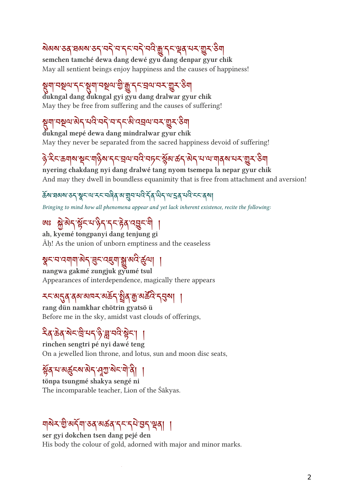#### ষ্ণমান্ত মুখ্য স্থা বিদ্যালয় স্থা বিদ্যালয় স্থা বিদ্যালয় স্থা

semchen tamché dewa dang dewé gyu dang denpar gyur chik May all sentient beings enjoy happiness and the causes of happiness!

#### त्रैना नन्नेल रेन्डिना नन्नेल की प्रै रेन्जुल नन् जैन २न।

dukngal dang dukngal gyi gyu dang dralwar gyur chik May they be free from suffering and the causes of suffering!

## য়ৢমা'নম্থঅ'ৰ্মব্'মব্ব'ম'ব্দ'ৰ্ম'বহ্ৰঅ'ন্ম'য়ু্ম'ঙ্গম

dukngal mepé dewa dang mindralwar gyur chik May they never be separated from the sacred happiness devoid of suffering!

# $\partial_{\alpha}$ र्भकर्णाया $\partial_{\alpha}$ ा। $\partial_{\beta}$ याम्बा $\partial_{\gamma}$ रुखाकर्णकर्णकर्णमाणावीवयानसंख्या

nyering chakdang nyi dang dralwé tang nyom tsemepa la nepar gyur chik And may they dwell in boundless equanimity that is free from attachment and aversion!

#### ઢૅંચઃਬਕਬਾऊқाश्चरायादरायलेवा आञ्चानायादे दॅवालारी जाउँ सारी सारायाना

Bringing to mind how all phenomena appear and yet lack inherent existence, recite the following:

#### ू भूवेन हैन्न है। १२ हेर्नु दर्दन ग

ah, kyemé tongpanyi dang tenjung gi Āḥ! As the union of unborn emptiness and the ceaseless

#### ষুনমনেশমান্ত্রন্'ব্রন'ন্দ্র্মান্ত্রু'ন্সই'র্জুন্মা ।

nangwa gakmé zungjuk gyumé tsul Appearances of interdependence, magically there appears

#### <u>২২ ৯</u>29 da alist app 39 m app 231 |

rang dün namkhar chötrin gyatsö ü Before me in the sky, amidst vast clouds of offerings,

# ན་ན་ང་ ི་པད་་་བ་ ེ ང་། །

rinchen sengtri pé nyi dawé teng On a jewelled lion throne, and lotus, sun and moon disc seats,

# ३१ २ २३ - २ २१ १५ १५ १५ १

tönpa tsungmé shakya sengé ni The incomparable teacher, Lion of the Śākyas.

#### dov 5 st (2019) 19 pc log proper

ser gyi dokchen tsen dang pejé den His body the colour of gold, adorned with major and minor marks.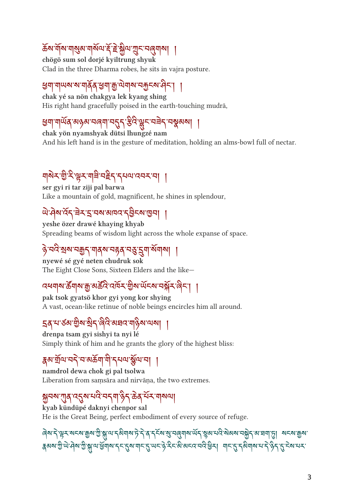#### क्ष्य गया गुरुव गया है हे भ्रुष गुरू नर्लुगया |

chögö sum sol dorjé kyiltrung shyuk Clad in the three Dharma robes, he sits in vajra posture.

#### ३॥ गण्य यागवेव ३॥ ग्रीजागवारा गण्ट्यान् ।

chak yé sa nön chakgya lek kyang shing His right hand gracefully poised in the earth-touching mudrā,

# ઉન નીબર્વ વ્યુઝેવ નાર્વન નઉને કોર 'ફ્રીન નવન નજીવના' ।

chak yön nyamshyak dütsi lhungzé nam And his left hand is in the gesture of meditation, holding an alms-bowl full of nectar.

# ᆌ 이 시 윈 시 워 시 게 키 티 시 트 / 시 시 디 시 시 시 | |

ser gyi ri tar ziji pal barwa Like a mountain of gold, magnificent, he shines in splendour,

#### สามารถ สามารถ (สิ้นที่ สิ้นที่)

yeshe özer drawé khaying khyab Spreading beams of wisdom light across the whole expanse of space.

#### ་བ་ས་བད་གནས་བན་བ་ག་ས ོ གས། །

nyewé sé gyé neten chudruk sok The Eight Close Sons, Sixteen Elders and the like—

#### $\mathcal{A}$ ସ୍ୱାର ବ୍ୟାବସ ବାସ ବାସ କିଆର ଜାତୀ ମଥିବା ଉଚ୍ଚା ।

pak tsok gyatsö khor gyi yong kor shying A vast, ocean-like retinue of noble beings encircles him all around.

#### ২৭ ন.৯৭ রিস হার নের রাজ্য নেন। ।

drenpa tsam gyi sishyi ta nyi lé Simply think of him and he grants the glory of the highest bliss:

#### क्षेत्र बात्र नई न अकर्ता तो रेखन अला ।

namdrol dewa chok gi pal tsolwa Liberation from samsāra and nirvāna, the two extremes.

#### $\partial \overline{\partial}$ ەلەلەر بەلەلگەن ئايدىن بەلگەن ئاملىق

kyab kündüpé daknyi chenpor sal He is the Great Being, perfect embodiment of every source of refuge.

The set of the set of the set of the set of the set of the set of the set of the set of the set of the set of  $\mathbb{S}$ २००९ गुण सेल गुर्आ तालेगील रेट पैल गोट से लटाई सेट लावटाउ ताउने बाट से उर्जनाल न रहे हैं स्वान्त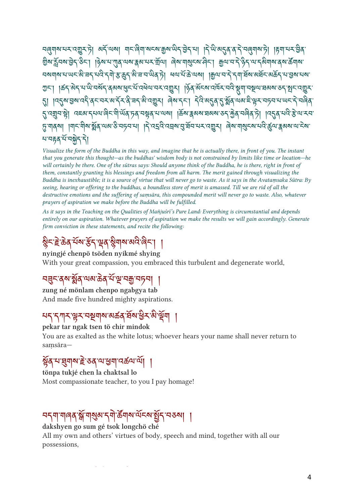<u> ન</u>િલેનીઅસન્તર્સિટને) અને તાઓ નોન્નિનીઅન્ય ઐઅજને કર્ન નો |ને તા બર્2વે વે ને નિલેનીઅર્ગ |હેની નન્ન કર્વ ลิต 922 สิงคม ค.ศ. 1825 - 1825 - 1927 - 1928 - 1929 - 1929 - 1929 - 1929 - 1929 - 1929 - 1920 - 1930 - 1930 - মম্মাম মাজিয়াৰ বিদ্যালী আৰু বিদ্যালী আৰু দিব আৰু বিদ্যালী পৰা পৰিবল্ ང་། །ཚད་ད་པ་་བསོད་ནམས་ང་པོ་འལ་བར་འར། །ན་མོངས་འར་བ་ག་བལ་ཐམས་ཅད་ང་འར་ ଽ୲୲୲୳ଽ୳ଌ୶୴ଽ୳୳ଽ୳ଽ୲ଌୖଽଽ୳୳ଽ୲ଌୗଽଌୗଽୡ୲ଌୗଽ୲୰୲୰ଌ୶୷ଌୗଽ୲୳୳ଽ୲୳୲୳୳୳୳୳୳୳ଌ ্ন'নয়ুন'শ্ল্লী ব্ৰহম'ন্মন'ৰ্লিন'শীৰ্অন'চৰ'নশ্লুৰ'ম'ন্মমা ।ৰ্ক্ৰম'ক্লমম'ৰমৰ'ডন'ৰ্দ্ৰন'নলীৰ'টা ।বৰ্ত্তৰ'মনীক্ট'ন'ৰম ্দৃ শাৰ্মা ।শানমীম য়ুঁৰ অৰ্সক্ত বদবা । বি বহনি বহনা ব্ৰীষ্ম নেতাৰী প্ৰমানীৰীৰ অন্যান প্ৰতিষ্মা প্ৰমান বি <u>ผสุสหั</u>นที่

Visualize the form of the Buddha in this way, and imagine that he is actually there, in front of you. The instant that you generate this thought—as the buddhas' wisdom body is not constrained by limits like time or location—he will certainly be there. One of the sūtras says: Should anyone think of the Buddha, he is there, right in front of them, constantly granting his blessings and freedom from all harm. The merit gained through visualizing the Buddha is inexhaustible; it is a source of virtue that will never go to waste. As it says in the Avataṃsaka Sūtra: By seeing, hearing or offering to the buddhas, a boundless store of merit is amassed. Till we are rid of all the destructive emotions and the suffering of saṃsāra, this compounded merit will never go to waste. Also, whatever prayers of aspiration we make before the Buddha will be fulfilled.

As it says in the Teaching on the Qualities of Mañjuśrī's Pure Land: Everything is circumstantial and depends entirely on our aspiration. Whatever prayers of aspiration we make the results we will gain accordingly. Generate firm conviction in these statements, and recite the following:

#### %रहको नया देरी हैवा क्षेत्रों नया बेट । ।

nyingjé chenpö tsöden nyikmé shying With your great compassion, you embraced this turbulent and degenerate world,

#### བང་ནས་ ོ ན་ལམ་ན་པ ོ་་བ་བཏབ། །

zung né mönlam chenpo ngabgya tab And made five hundred mighty aspirations.

#### པད་དཀར་ར་བགས་མཚན་ཐ ོ ས་ ི ར་་ ོ ག །

pekar tar ngak tsen tö chir mindok You are as exalted as the white lotus; whoever hears your name shall never return to saṃsāra—

#### ३१ १३१ १३ है ३१ थे छन्। उक्तवान् ।

tönpa tukjé chen la chaktsal lo Most compassionate teacher, to you I pay homage!

#### <u>નર્ગમાંગોહેવે ક્ષેત્રોજીંજ રેત્રો જ્નોજાનર કરીરે નરુઠો |</u>

dakshyen go sum gé tsok longchö ché All my own and others' virtues of body, speech and mind, together with all our possessions,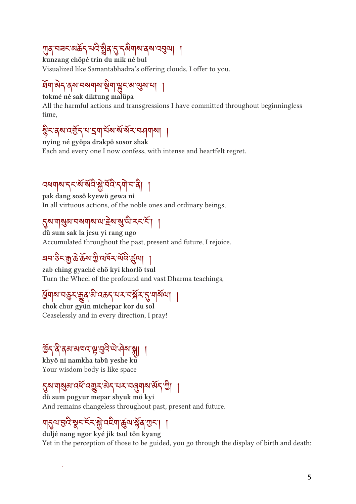# $\mathbb{Z}$ g ้าร $\mathbb{Z}$ จัด $\mathbb{Z}$ าร์จัดขุ $\mathbb{Z}$ จัดขุ $\mathbb{Z}$ จัด $\mathbb{Z}$

kunzang chöpé trin du mik né bul Visualized like Samantabhadra's offering clouds, I offer to you.

#### धर्मा अर्च बेल नवना अर्था सिट वालील जी |

tokmé né sak diktung malüpa

All the harmful actions and transgressions I have committed throughout beginningless time,

#### %्वेषादश्चेन न स्वानिवारा अन्न नर्मनान | |

nying né gyöpa drakpö sosor shak Each and every one I now confess, with intense and heartfelt regret.

## ้ธรรม พระ ที่ 13 ปร. 2 ปร. 2 ปร. 2 ปร. 2 ปร. 2 ปร. 2 ปร. 2 ปร. 2 ปร. 2 ปร. 2 ปร. 2 ปร. 2 ปร. 2 ปร. 2 ปร. 2 ปร.

pak dang sosö kyewö gewa ni In all virtuous actions, of the noble ones and ordinary beings,

#### งิท ปลิต กุตปุตบ ธุตฮิ ศ.ศ. 21 |

dü sum sak la jesu yi rang ngo Accumulated throughout the past, present and future, I rejoice.

# ཟབ་ང་་་ས་ ི་འར་ལ ོ་ལ། །

zab ching gyaché chö kyi khorlö tsul Turn the Wheel of the profound and vast Dharma teachings,

#### त्रिनील तब्रैन ब्रैंबे ब्राउक्से तन तभ्रेन 9 गोबानी |

chok chur gyün michepar kor du sol Ceaselessly and in every direction, I pray!

### ७११ वे बेब बागद मैं शैद लामक भी |

khyö ni namkha tabü yeshe ku Your wisdom body is like space

#### २२ गोलैल उत्त उर्की कर नन नर्बनील कर जी |

dü sum pogyur mepar shyuk mö kyi And remains changeless throughout past, present and future.

#### ᆌ2대당대왕수수수왕대투제 영재왕이 2011

duljé nang ngor kyé jik tsul tön kyang Yet in the perception of those to be guided, you go through the display of birth and death;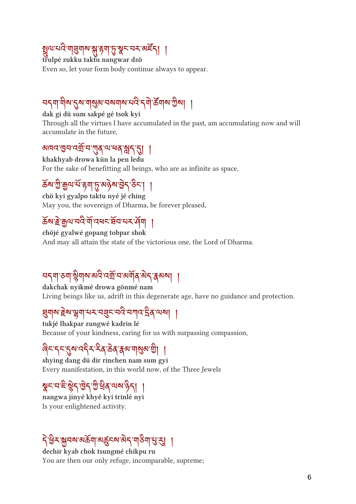#### ह्मैप सद गर्नुगुरु भ्रे ६गुरु क्षेत्र पत्र अन्त्र। ।

trulpé zukku taktu nangwar dzö Even so, let your form body continue always to appear.

#### ၁၂၂၂၂၁ ၂၁ ၂၁၀ ၁၁ ၂၁ ၂၁ ၂၁ ၂၂ တပြီး ၂၂

dak gi dü sum sakpé gé tsok kyi Through all the virtues I have accumulated in the past, am accumulating now and will accumulate in the future,

#### आयदछन दया न गुरु मा बर्ने भैरी है। ।

khakhyab drowa kün la pen ledu For the sake of benefitting all beings, who are as infinite as space,

## ས་ ི་ལ་པ ོ་ག་་མས་ ེ ད་ང་། །

chö kyi gyalpo taktu nyé jé ching May you, the sovereign of Dharma, be forever pleased,

## क्ष्य हे ग्रीज राज बोजलर घर सर पर सेवा |

chöjé gyalwé gopang tobpar shok And may all attain the state of the victorious one, the Lord of Dharma.

# <u>નર્નની આ કૈનોએ અને તેની ન અનોવે જર્ન થેજની ၂</u>

dakchak nyikmé drowa gönmé nam Living beings like us, adrift in this degenerate age, have no guidance and protection.

#### इनका हेलाईन निर्जलहरू नव लगत २० जन्म |

tukjé lhakpar zungwé kadrin lé Because of your kindness, caring for us with surpassing compassion,

## ا المحمد المحمد المحمد المحمد المحمد المحمد المحمد المحمد المحمد المحمد المحمد

shying dang dü dir rinchen nam sum gyi Every manifestation, in this world now, of the Three Jewels

#### $35 - 55$   $37$   $95 - 39$   $10$   $39$   $11$   $11$

nangwa jinyé khyé kyi trinlé nyi Is your enlightened activity.

# (ลิ มี<sub>ก</sub>ุล ตุล ตุล ตุล ตุล ตุล ตุล ตุล ป

dechir kyab chok tsungmé chikpu ru You are then our only refuge, incomparable, supreme;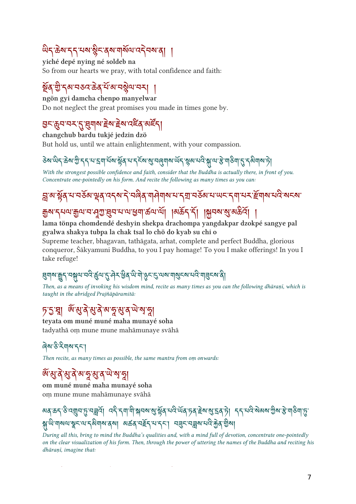## $\omega$

yiché depé nying né soldeb na So from our hearts we pray, with total confidence and faith:

#### ลี่ยุ ลี ฯ ฯจะ ๑๑ ฯ ฯ ฯมี ฯ ฯ | |

ngön gyi damcha chenpo manyelwar Do not neglect the great promises you made in times gone by.

#### ང་བ་བར་་གས་ ེ ས་ ེ ས་འན་མཛོ ད།

changchub bardu tukjé jedzin dzö

But hold us, until we attain enlightenment, with your compassion.

#### <u>२२ लई कथ ग्राही राज्यां नया क्षेत्र नारी का सांचे पार्वताय अनु क्षेत्र नार भी ता का विरोजनाया ग्रे</u>

With the strongest possible confidence and faith, consider that the Buddha is actually there, in front of you. Concentrate one-pointedly on his form. And recite the following as many times as you can:

# $\beta$  a  $\beta$ a  $\gamma$  as  $\gamma$  is  $\gamma$  and  $\gamma$  and  $\gamma$  and  $\gamma$  and  $\gamma$  and  $\gamma$  and  $\gamma$  is  $\gamma$  and  $\gamma$

#### युर्ग र्नेनल क्रैल न सेंज दिन न ल ब्रैन कल ल | | बिर्कर रो | क्रिनल अं अकत | |

#### lama tönpa chomdendé deshyin shekpa drachompa yangdakpar dzokpé sangye pal gyalwa shakya tubpa la chak tsal lo chö do kyab su chi o

Supreme teacher, bhagavan, tathāgata, arhat, complete and perfect Buddha, glorious conqueror, Śākyamuni Buddha, to you I pay homage! To you I make offerings! In you I take refuge!

## ક્ષિણ શૂર્વ નજીવા નવ છેતા ? તેને જીવે ભાગ ઉન્ટે બન્ના નંજન્ય નવ રાકિત્ય વી

Then, as a means of invoking his wisdom mind, recite as many times as you can the following dhāraṇī, which is taught in the abridged Prajñāpāramitā:

#### *ॸ*ॱऽॱয়ৢ৷ <sup>৻</sup>৾৻ৠয়৾ৠয়৾৽য়ৼৢ৽ৠয়৾<sup>৸</sup>য়

teyata om muné muné maha munayé soha tadyathā oṃ mune mune mahāmunaye svāhā

#### ৰিম'উ'মিনম'নন'

Then recite, as many times as possible, the same mantra from om onwards:

# *জঁ* মুক্ট মুক্ট মাকুমুক অন্দুদ্ধ

om muné muné maha munayé soha oṃ mune mune mahāmunaye svāhā

#### બৰ্ ৯১ ১ নৱীন ষ্ট নশ্ৰন। নৰ্ 21 না মাসনৰ প্ৰাপ্তৰ বাব লৰ্ ১ৰ হৈ ব্যৱবাচী । 22 নন্ত অৰুত ক্ৰমা হমাতি। ষ্ট  $\mathcal{H}_{\mathcal{M}}$ w John Salah John Salah Salah Salah Salah Salah Salah Salah Salah Salah Salah Salah Salah Salah S

During all this, bring to mind the Buddha's qualities and, with a mind full of devotion, concentrate one-pointedly on the clear visualization of his form. Then, through the power of uttering the names of the Buddha and reciting his dhāranī, imagine that: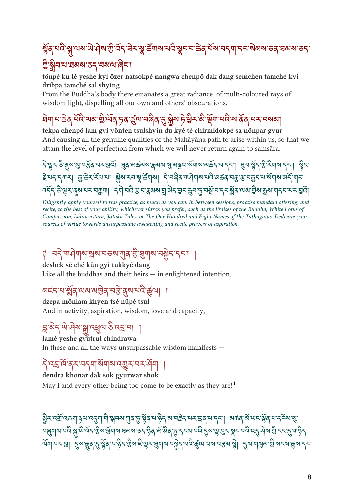# $\beta$ g ଏଓ ନ୍ୟୁ ଏବା ଏ ଏ ଏ ଏ ଏ ଏ ଏ ଏ କ୍ଷି ବ୍ୟାବା ଏଓ କ୍ଷି ମାନ୍ୟ ଉର୍ଥ ଏ ଏ ଏ ଏ ଏ । ଏ ସବା ବର୍ଷ ସବା ବର୍

#### ง ลีก กรรด รว กทุกเข้า

tönpé ku lé yeshe kyi özer natsokpé nangwa chenpö dak dang semchen tamché kyi dribpa tamché sal shying

From the Buddha's body there emanates a great radiance, of multi-coloured rays of wisdom light, dispelling all our own and others' obscurations,

## त्रिण नाकर्ण नाराणकारी लये हिला नावेब टै ग्रैल हे त्र कार्त्रचा नाराज वेबे नन नववा।

tekpa chenpö lam gyi yönten tsulshyin du kyé té chirmidokpé sa nönpar gyur And causing all the genuine qualities of the Mahāyāna path to arise within us, so that we attain the level of perfection from which we will never return again to saṃsāra.

་ར་་ས་་བོན་པར་འོ། ན་མཚམས་མས་་མལ་སོགས་མད་པ་དང་། བ་ོད་ ི་གས་དང་། ི ང་ <u>৾</u>हेभ्ददम् तृ कुछेदर्दयाया क्लेषादवाञ्चार्केषाबा देखले यानेपालयरु अर्कुरायकु अर्चात्रा संयाबाद्यदेखादा  $\frac{1}{2}$  $\frac{1}{2}$ ેકેને ઉંચાનને નેતીની પૈનીનાને કોન વેબએ મું અને ઉત્તે ઉત્તકોનો ને 39 તાજા શિચારીને તાન ઉત્ત

Diligently apply yourself to this practice, as much as you can. In between sessions, practise mandala offering, and recite, to the best of your ability, whichever sūtras you prefer, such as the Praises of the Buddha, White Lotus of Compassion, Lalitavistara, Jātaka Tales, or The One Hundred and Eight Names of the Tathāgatas. Dedicate your sources of virtue towards unsurpassable awakening and recite prayers of aspiration.

# $\epsilon$ ံ ၁၂ ၅၅၅၅ ရွှစ် ၁၁၈ ၁၁၈  $\eta$ ရဲမျှ ၂ ရွှေ့ရေး၊ ၂ ရွှေ့) ၂ ရ

deshek sé ché kün gyi tukkyé dang Like all the buddhas and their heirs  $-$  in enlightened intention,

## <u>ละว่า มีจ่างจาลิต 13 สิง กร ซิก|</u>

dzepa mönlam khyen tsé nüpé tsul And in activity, aspiration, wisdom, love and capacity,

#### ङ्गबेद'षे'मेष'ङ्ग'द्र्युव'ङै'द5'या ।

lamé yeshe gyutrul chindrawa

In these and all the ways unsurpassable wisdom manifests —

#### ן נודו דור דור של דור דור דור דור דור דור דור

dendra khonar dak sok gyurwar shok May I and every other being too come to be exactly as they are!<sup>[1](#ref1)</sup>

ञ्चैन पशायकर्णा ५,५१ पद्मा गान्नेनरू गुरुषु द्वान्ने ५,५२ अ. नद्दन नन्दन नन्द। अकर्ष अ. लन् छेर्नु नन्दन् अ. त નેલુંગીએ તાને ગ્રી.ભાનને ઊંચા જાનીએ ત્રવ્યુચ હતું તેવે બામીવાર્ક રેન્ચાનન રીજા કે લેન કીન તાનાન રી.મીચા ઊંનન રી जनानन आग्नै  $\beta$ अर्जिय से हेले नारेने जलहादेन अनाल नश्चैने नार कीनानल नश्च है। यित्रानंबिल जी जन्या मैना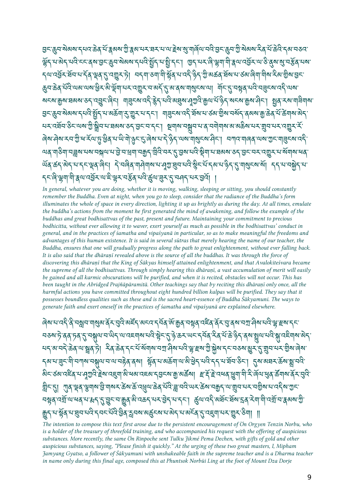ลิ้ว ซึ่ง ตลง ไทร์ อุจุ ๆ รุ่งจ.กิ.ริจ. 57 ธ.ศ. 55 ต.ที.ที่ได้ท.ก.ริร ซึ่ง กิ.ชอง 19 ก.ค. ไจ.ก.จ.ร. हैर्निगलर् सेवेन्ट्रेन बुसाइन् बुसालका निवार्धी ने सुनिन्न । अने सन् ले हैन्। तक्षितादेवनामाठा वैद्यार्थन कर्वन <u>{พันธรรมราชิง สิ่ง (วินซึรา)| พร้าไจปลูได้ราชิง (จิตั้งตอง สุขาวจุดเดิปปอร์จูกติราชิง (</u> कैन कर्व नारायव्यास्व छन् व्यासेन नन् उर्जीन नावार दिवा वैद्यानार्थन्याता । नन् दैन्छैव नार नर्दन्याउन् ज्ञवा શ्মহ্মাক্কুমাদ্বঝ্মাতন্ বেহ্ৰুহাৰিন। শৰ্ হয়মাবন্ধ ক্লুনাবিভ্ৰম্ভ্ৰমানুমুখি ক্লুনাৰ্যাপ্তিন সংকাক্কুমানীৰ বি त्र क्षेत्र अवस्त्र रोनार झैरी न अकृती ? क्षेत्र न रोर | जनिन्छ उर्दा स्वयं न क्ष्य क्षेत्र स्वयं ये क्षेत्र अप<br>तर्फल अवस्त्र रोनार झैरी न अकृती ? क्षेत्र न रोर | जनिन्छ उर्दा स्वयं न क्ष्य क्षेत्र समये वेबल भै क्ष्वे न क ન તસન રુત વર્ષા ગુર્ માન સંસ્થાન રુત ઉત્તન રીત્રી કેનાન નર્સન ન વે નર્નાનાન બ બર્જન નને ત્રીન નને હજીને ન The strip of the strip of the strip of the strip of the strip of the strip of the strip of the strip of the str ।ଏବ ୩୦୩ ମଞ୍ଜିନ ନିଜୀନ ନାମ ମାନି ମାନି । ଏହି ମାନି ମାନ ମାନି ନିଜୀ ନାମ କିମା ମାନିବାରେ ୨ ମିନି ମାନ ମାନିକ ବା ୴ବ ବ୍ୟବସ୍ଥିତ । ଏକ ବ୍ୟବସ୍ଥା ମାଧ୍ୟ ସ୍ଥାନ ବ୍ୟାସ୍ଥିତ ସ୍ଥାନ କରିଥିବା ବ୍ୟାକ୍ରମ ବିସାରିକ ସାଥା । ଏହି ସାକ୍ଷିଥିବା ସ *ॸ्*॰िले॰भ्लगमी॰क्ष्यःषड्रेन्४ः अङ्क्ष्यःसङ्क्ष्यः अञ्चन्ध्रः अस्य अस्य अत्य

In general, whatever you are doing, whether it is moving, walking, sleeping or sitting, you should constantly remember the Buddha. Even at night, when you go to sleep, consider that the radiance of the Buddha's form illuminates the whole of space in every direction, lighting it up as brightly as during the day. At all times, emulate the buddha's actions from the moment he first generated the mind of awakening, and follow the example of the buddhas and great bodhisattvas of the past, present and future. Maintaining your commitment to precious bodhicitta, without ever allowing it to waver, exert yourself as much as possible in the bodhisattvas' conduct in general, and in the practices of śamatha and vipaśyanā in particular, so as to make meaningful the freedoms and advantages of this human existence. It is said in several sūtras that merely hearing the name of our teacher, the Buddha, ensures that one will gradually progress along the path to great enlightenment, without ever falling back. It is also said that the dhāraṇī revealed above is the source of all the buddhas. It was through the force of discovering this dhāraṇī that the King of Śākyas himself attained enlightenment, and that Avalokiteśvara became the supreme of all the bodhisattvas. Through simply hearing this dhāraṇī, a vast accumulation of merit will easily be gained and all karmic obscurations will be purified, and when it is recited, obstacles will not occur. This has been taught in the Abridged Prajñāpāramitā. Other teachings say that by reciting this dhāraṇī only once, all the harmful actions you have committed throughout eight hundred billion kalpas will be purified. They say that it possesses boundless qualities such as these and is the sacred heart-essence of Buddha Śākyamuni. The ways to generate faith and exert oneself in the practices of śamatha and vipaśyanā are explained elsewhere.

*ৰিম্মানেই বিমন্ত্ৰা*ন শাৰ্ষ্ম ৰ্ম*ৰ্ম বিমন্ত্ৰি* ৰাইন অনন্দৰ্ম ৰাজ্য কৰি বিৰুদ্ধে বিৰুদ্ধে বিদ্যালীৰ বিভিন্ন হৈছে <u></u>བঙম'ট়'ৰ্ব'চৰ্'ন্ড'নক্ল্মণ'ন'থ্যিন'ণ'বহুশৰ্ম'মবি'ষ্ট্ৰন'্ন্ড'ক্তম'খ্যন'ৰ্ন্ম'ৰ্ক্ট'ৰ্ট'ক্ট'ৰ্ম'যুথ'মবি'ক্ল'বইশ্ৰম'ৰ্ন্ નને જાનને જ્વે તો ફીર્વાર્ગ નને જ્વે નનના અનીઅનેતા તેને કોર્સ્સ તો ક્ષેત્ર નનન્ન જૈન ? તૈનનનન જ્વે હેતા ຽমমে:ব্ৰুম্মীম্মাৰমুখমেন্মেই বুৰ্মা স্থিৰ মাৰ্জিয়ামাৰীস্ত্ৰীয় বুৰ্মাইনস্কুমা প্ৰমান্ত্ৰ স্থায়াৰ बेद रुबाददेव पानुगुदे हेबादड्या बे बबादहबादुडू बार्जु बर्ढेबा हार्दे हे दयव युवायी दे बेवायुव ढेंगबार्के पुदि 35 AI (19,39 31 AI ST) अपने कहा का उन्होंने कर्ष नारे थी नारा लोग करा नदीन जा तीन नान नजीश नाउने था की र <u>الله العام 1948 م الذي الذي يوم عام 1958 والذي التي التي يوم المعام 1954 م 1954 والتي يوم الذي المؤمر 1954 وال</u> र्वेदी ता द्वीत तथा तीन तार तथा को प्रयालक स्थान का तावत्व ? उच्ची तत्र की र व्या | ||

The intention to compose this text first arose due to the persistent encouragement of Ön Orgyen Tenzin Norbu, who is a holder of the treasury of threefold training, and who accompanied his request with the offering of auspicious substances. More recently, the same Ön Rinpoche sent Tulku Jikmé Pema Dechen, with gifts of gold and other auspicious substances, saying, "Please finish it quickly." At the urging of these two great masters, I, Mipham Jamyang Gyatso, a follower of Śākyamuni with unshakeable faith in the supreme teacher and is a Dharma teacher in name only during this final age, composed this at Phuntsok Norbüi Ling at the foot of Mount Dza Dorje